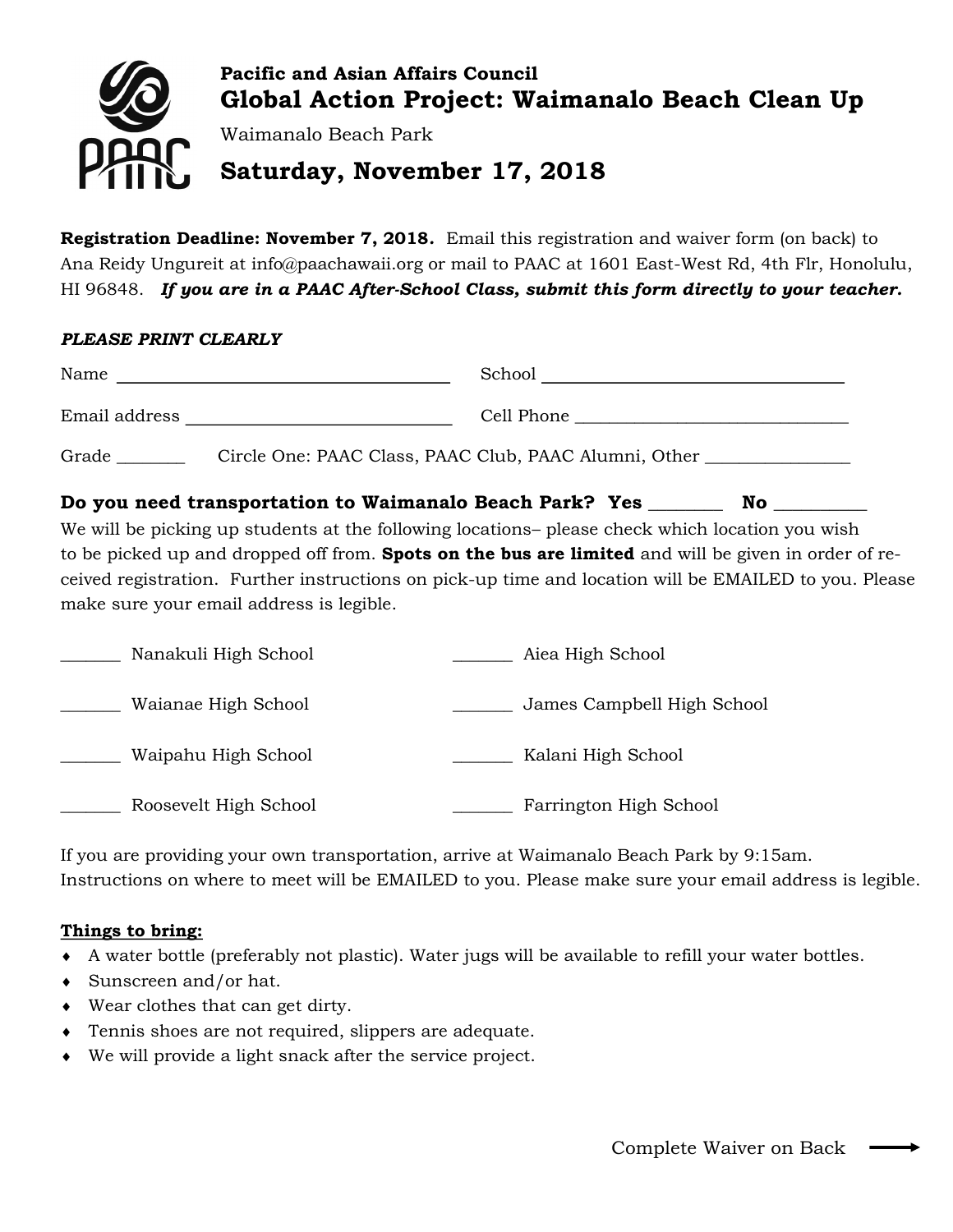

**Registration Deadline: November 7, 2018***.* Email this registration and waiver form (on back) to Ana Reidy Ungureit at info@paachawaii.org or mail to PAAC at 1601 East-West Rd, 4th Flr, Honolulu, HI 96848. *If you are in a PAAC After-School Class, submit this form directly to your teacher.*

## *PLEASE PRINT CLEARLY*

| Grade                                                                                           | Circle One: PAAC Class, PAAC Club, PAAC Alumni, Other ___________________________ |  |
|-------------------------------------------------------------------------------------------------|-----------------------------------------------------------------------------------|--|
| Do you need transportation to Waimanalo Beach Park? Yes _________ No                            |                                                                                   |  |
| We will be picking up students at the following locations- please check which location you wish |                                                                                   |  |

to be picked up and dropped off from. **Spots on the bus are limited** and will be given in order of received registration. Further instructions on pick-up time and location will be EMAILED to you. Please make sure your email address is legible.

| Nanakuli High School  | Aiea High School           |
|-----------------------|----------------------------|
| Waianae High School   | James Campbell High School |
| Waipahu High School   | Kalani High School         |
| Roosevelt High School | Farrington High School     |

If you are providing your own transportation, arrive at Waimanalo Beach Park by 9:15am. Instructions on where to meet will be EMAILED to you. Please make sure your email address is legible.

# **Things to bring:**

- A water bottle (preferably not plastic). Water jugs will be available to refill your water bottles.
- Sunscreen and/or hat.
- Wear clothes that can get dirty.
- Tennis shoes are not required, slippers are adequate.
- We will provide a light snack after the service project.